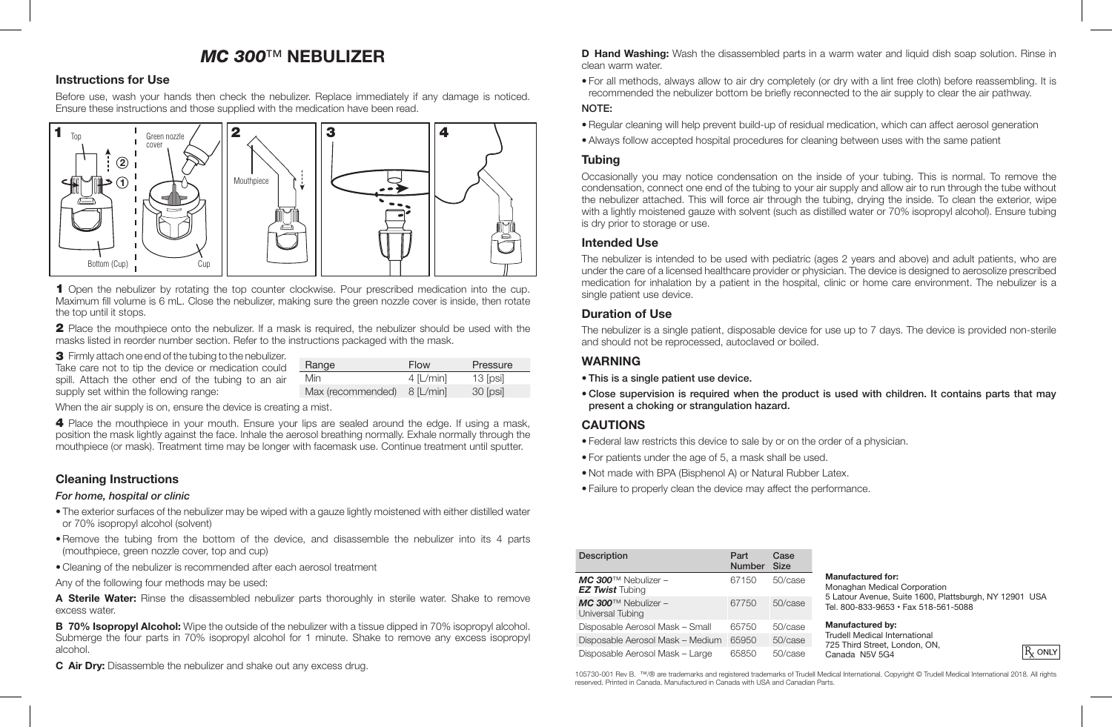# *MC 300*™ **NEBULIZER**

## **Instructions for Use**

Before use, wash your hands then check the nebulizer. Replace immediately if any damage is noticed. Ensure these instructions and those supplied with the medication have been read.



**1** Maximum fill volume is 6 mL. Close the nebulizer, making sure the green nozzle cover is inside, then rotate **2** 1 Open the nebulizer by rotating the top counter clockwise. Pour prescribed medication into the cup. the top until it stops.

2 Place the mouthpiece onto the nebulizer. If a mask is required, the nebulizer should be used with the masks listed in reorder number section. Refer to the instructions packaged with the mask. **2**

3 Firmly attach one end of the tubing to the nebulizer. **1**

| Take care not to tip the device or medication could | Range                         | Flow        | Pressure |
|-----------------------------------------------------|-------------------------------|-------------|----------|
| spill. Attach the other end of the tubing to an air | <b>Min</b>                    | $4$ [L/min] | 13 [psi] |
| supply set within the following range:              | Max (recommended) $8$ [L/min] |             | 30 [psi] |

When the air supply is on, ensure the device is creating a mist.

4 Place the mouthpiece in your mouth. Ensure your lips are sealed around the edge. If using a mask, position the mask lightly against the face. Inhale the aerosol breathing normally. Exhale normally through the mouthpiece (or mask). Treatment time may be longer with facemask use. Continue treatment until sputter.

## **Cleaning Instructions**

### *For home, hospital or clinic*

- The exterior surfaces of the nebulizer may be wiped with a gauze lightly moistened with either distilled water or 70% isopropyl alcohol (solvent)
- Remove the tubing from the bottom of the device, and disassemble the nebulizer into its 4 parts (mouthpiece, green nozzle cover, top and cup)
- Cleaning of the nebulizer is recommended after each aerosol treatment
- Any of the following four methods may be used:

**A Sterile Water:** Rinse the disassembled nebulizer parts thoroughly in sterile water. Shake to remove excess water.

**B 70% Isopropyl Alcohol:** Wipe the outside of the nebulizer with a tissue dipped in 70% isopropyl alcohol. Submerge the four parts in 70% isopropyl alcohol for 1 minute. Shake to remove any excess isopropyl alcohol.

**C Air Dry:** Disassemble the nebulizer and shake out any excess drug.

**D Hand Washing:** Wash the disassembled parts in a warm water and liquid dish soap solution. Rinse in clean warm water.

• For all methods, always allow to air dry completely (or dry with a lint free cloth) before reassembling. It is recommended the nebulizer bottom be briefly reconnected to the air supply to clear the air pathway.

### NOTE:

- Regular cleaning will help prevent build-up of residual medication, which can affect aerosol generation
- Always follow accepted hospital procedures for cleaning between uses with the same patient

## **Tubing**

Occasionally you may notice condensation on the inside of your tubing. This is normal. To remove the condensation, connect one end of the tubing to your air supply and allow air to run through the tube without the nebulizer attached. This will force air through the tubing, drying the inside. To clean the exterior, wipe with a lightly moistened gauze with solvent (such as distilled water or 70% isopropyl alcohol). Ensure tubing is dry prior to storage or use.

### **Intended Use**

The nebulizer is intended to be used with pediatric (ages 2 years and above) and adult patients, who are under the care of a licensed healthcare provider or physician. The device is designed to aerosolize prescribed medication for inhalation by a patient in the hospital, clinic or home care environment. The nebulizer is a single patient use device.

### **Duration of Use**

The nebulizer is a single patient, disposable device for use up to 7 days. The device is provided non-sterile and should not be reprocessed, autoclaved or boiled.

### **WARNING**

- This is a single patient use device.
- Close supervision is required when the product is used with children. It contains parts that may present a choking or strangulation hazard.

## **CAUTIONS**

- Federal law restricts this device to sale by or on the order of a physician.
- For patients under the age of 5, a mask shall be used.
- Not made with BPA (Bisphenol A) or Natural Rubber Latex.
- Failure to properly clean the device may affect the performance.

| <b>Description</b>                                           | Part<br>Number Size | Case       |
|--------------------------------------------------------------|---------------------|------------|
| $MC$ 300 <sup>TM</sup> Nebulizer -<br><b>EZ Twist</b> Tubing | 67150               | 50/case    |
| $MC$ 300 <sup>TM</sup> Nebulizer -<br>Universal Tubing       | 67750               | 50/case    |
| Disposable Aerosol Mask - Small                              | 65750               | 50/case    |
| Disposable Aerosol Mask - Medium                             | 65950               | $50/c$ ase |
| Disposable Aerosol Mask - Large                              | 65850               | 50/case    |

#### **Manufactured for:**

Monaghan Medical Corporation 5 Latour Avenue, Suite 1600, Plattsburgh, NY 12901 USA Tel. 800-833-9653 • Fax 518-561-5088

#### **Manufactured by:**

Trudell Medical International 725 Third Street, London, ON Canada N5V 5G4

 $R_{r}$  only

105730-001 Rev B. ™/® are trademarks and registered trademarks of Trudell Medical International. Copyright © Trudell Medical International 2018. All rights reserved. Printed in Canada. Manufactured in Canada with USA and Canadian Parts.